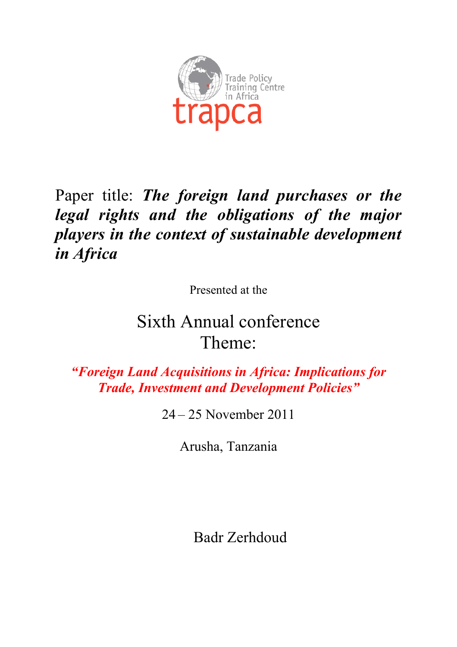

## Paper title: *The foreign land purchases or the legal rights and the obligations of the major players in the context of sustainable development in Africa*

Presented at the

# Sixth Annual conference Theme:

*"Foreign Land Acquisitions in Africa: Implications for Trade, Investment and Development Policies"*

24 – 25 November 2011

Arusha, Tanzania

Badr Zerhdoud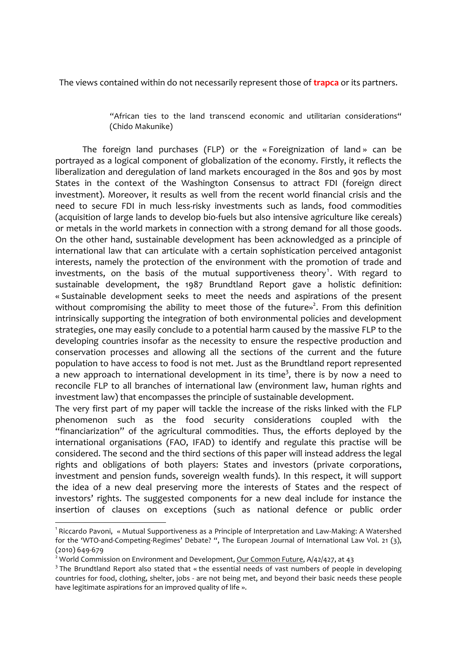The views contained within do not necessarily represent those of **trapca** or its partners.

"African ties to the land transcend economic and utilitarian considerations" (Chido Makunike)

The foreign land purchases (FLP) or the «Foreignization of land» can be portrayed as a logical component of globalization of the economy. Firstly, it reflects the liberalization and deregulation of land markets encouraged in the 80s and 90s by most States in the context of the Washington Consensus to attract FDI (foreign direct investment). Moreover, it results as well from the recent world financial crisis and the need to secure FDI in much less-risky investments such as lands, food commodities (acquisition of large lands to develop bio-fuels but also intensive agriculture like cereals) or metals in the world markets in connection with a strong demand for all those goods. On the other hand, sustainable development has been acknowledged as a principle of international law that can articulate with a certain sophistication perceived antagonist interests, namely the protection of the environment with the promotion of trade and investments, on the basis of the mutual supportiveness theory<sup>1</sup>. With regard to sustainable development, the 1987 Brundtland Report gave a holistic definition: «Sustainable development seeks to meet the needs and aspirations of the present without compromising the ability to meet those of the future»<sup>2</sup>. From this definition intrinsically supporting the integration of both environmental policies and development strategies, one may easily conclude to a potential harm caused by the massive FLP to the developing countries insofar as the necessity to ensure the respective production and conservation processes and allowing all the sections of the current and the future population to have access to food is not met. Just as the Brundtland report represented a new approach to international development in its time<sup>3</sup>, there is by now a need to reconcile FLP to all branches of international law (environment law, human rights and investment law) that encompasses the principle of sustainable development.

The very first part of my paper will tackle the increase of the risks linked with the FLP phenomenon such as the food security considerations coupled with the "financiarization" of the agricultural commodities. Thus, the efforts deployed by the international organisations (FAO, IFAD) to identify and regulate this practise will be considered. The second and the third sections of this paper will instead address the legal rights and obligations of both players: States and investors (private corporations, investment and pension funds, sovereign wealth funds). In this respect, it will support the idea of a new deal preserving more the interests of States and the respect of investors' rights. The suggested components for a new deal include for instance the insertion of clauses on exceptions (such as national defence or public order

<sup>&</sup>lt;sup>1</sup> Riccardo Pavoni, « Mutual Supportiveness as a Principle of Interpretation and Law-Making: A Watershed for the 'WTO-and-Competing-Regimes' Debate? ", The European Journal of International Law Vol. 21 (3),  $(2010)649-679$ 

<sup>&</sup>lt;sup>2</sup> World Commission on Environment and Development, Our Common Future,  $A/42/427$ , at 43

<sup>&</sup>lt;sup>3</sup> The Brundtland Report also stated that « the essential needs of vast numbers of people in developing countries for food, clothing, shelter, jobs - are not being met, and beyond their basic needs these people have legitimate aspirations for an improved quality of life ».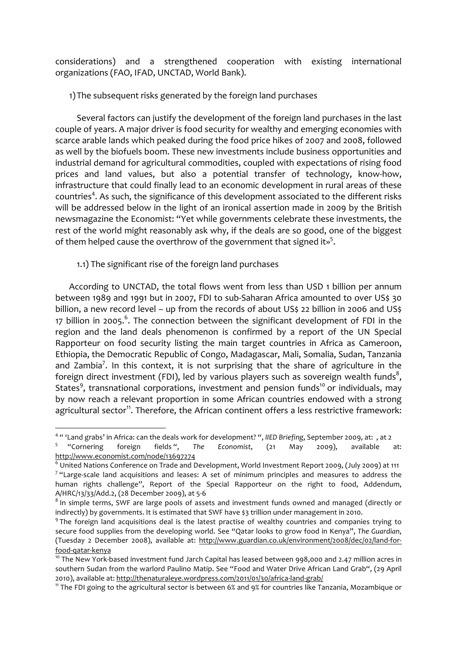considerations) and a strengthened cooperation with existing international organizations (FAO, IFAD, UNCTAD, World Bank).

1) The subsequent risks generated by the foreign land purchases

Several factors can justify the development of the foreign land purchases in the last couple of years. A major driver is food security for wealthy and emerging economies with scarce arable lands which peaked during the food price hikes of 2007 and 2008, followed as well by the biofuels boom. These new investments include business opportunities and industrial demand for agricultural commodities, coupled with expectations of rising food prices and land values, but also a potential transfer of technology, know-how, infrastructure that could finally lead to an economic development in rural areas of these countries<sup>4</sup>. As such, the significance of this development associated to the different risks will be addressed below in the light of an ironical assertion made in 2009 by the British newsmagazine the Economist: "Yet while governments celebrate these investments, the rest of the world might reasonably ask why, if the deals are so good, one of the biggest of them helped cause the overthrow of the government that signed it»<sup>5</sup>.

1.1) The significant rise of the foreign land purchases

According to UNCTAD, the total flows went from less than USD 1 billion per annum between 1989 and 1991 but in 2007, FDI to sub-Saharan Africa amounted to over US\$ 30 billion, a new record level - up from the records of about US\$ 22 billion in 2006 and US\$ 17 billion in 2005.<sup>6</sup>. The connection between the significant development of FDI in the region and the land deals phenomenon is confirmed by a report of the UN Special Rapporteur on food security listing the main target countries in Africa as Cameroon, Ethiopia, the Democratic Republic of Congo, Madagascar, Mali, Somalia, Sudan, Tanzania and Zambia<sup>7</sup>. In this context, it is not surprising that the share of agriculture in the foreign direct investment (FDI), led by various players such as sovereign wealth funds<sup>8</sup>, States<sup>9</sup>, transnational corporations, investment and pension funds<sup>10</sup> or individuals, may by now reach a relevant proportion in some African countries endowed with a strong agricultural sector<sup>11</sup>. Therefore, the African continent offers a less restrictive framework:

<sup>&</sup>lt;sup>4</sup> " 'Land grabs' in Africa: can the deals work for development? ", IIED Briefing, September 2009, at: , at 2

<sup>&</sup>lt;sup>5</sup> "Cornering foreign fields ", The Economist,  $(21)$ May  $2009$ ), available at: http://www.economist.com/node/13697274

 $6$  United Nations Conference on Trade and Development, World Investment Report 2009, (July 2009) at 111 <sup>7</sup> "Large-scale land acquisitions and leases: A set of minimum principles and measures to address the human rights challenge", Report of the Special Rapporteur on the right to food, Addendum, A/HRC/13/33/Add.2, (28 December 2009), at 5-6

<sup>&</sup>lt;sup>8</sup> In simple terms, SWF are large pools of assets and investment funds owned and managed (directly or indirectly) by governments. It is estimated that SWF have \$3 trillion under management in 2010.

<sup>&</sup>lt;sup>9</sup> The foreign land acquisitions deal is the latest practise of wealthy countries and companies trying to secure food supplies from the developing world. See "Qatar looks to grow food in Kenya", The Guardian, (Tuesday 2 December 2008), available at: http://www.guardian.co.uk/environment/2008/dec/02/land-forfood-qatar-kenya

<sup>&</sup>lt;sup>10</sup> The New York-based investment fund Jarch Capital has leased between 998,000 and 2.47 million acres in southern Sudan from the warlord Paulino Matip. See "Food and Water Drive African Land Grab", (29 April 2010), available at: http://thenaturaleye.wordpress.com/2011/01/30/africa-land-grab/

<sup>&</sup>lt;sup>11</sup> The FDI going to the agricultural sector is between 6% and 9% for countries like Tanzania, Mozambique or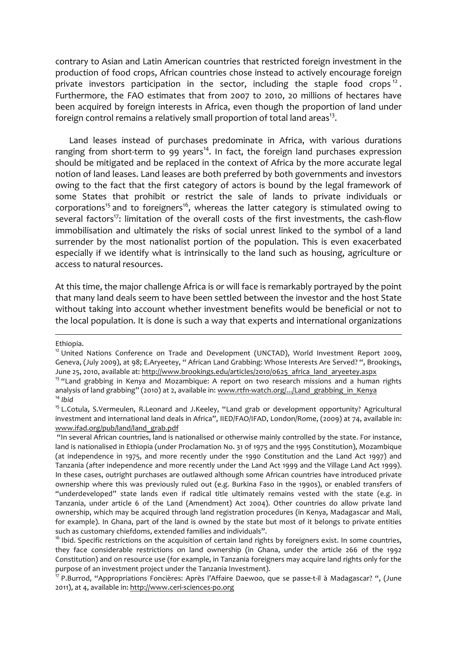contrary to Asian and Latin American countries that restricted foreign investment in the production of food crops, African countries chose instead to actively encourage foreign private investors participation in the sector, including the staple food crops<sup>12</sup>. Furthermore, the FAO estimates that from 2007 to 2010, 20 millions of hectares have been acquired by foreign interests in Africa, even though the proportion of land under foreign control remains a relatively small proportion of total land areas<sup>13</sup>.

Land leases instead of purchases predominate in Africa, with various durations ranging from short-term to 99 years<sup>14</sup>. In fact, the foreign land purchases expression should be mitigated and be replaced in the context of Africa by the more accurate legal notion of land leases. Land leases are both preferred by both governments and investors owing to the fact that the first category of actors is bound by the legal framework of some States that prohibit or restrict the sale of lands to private individuals or corporations<sup>15</sup> and to foreigners<sup>16</sup>, whereas the latter category is stimulated owing to several factors<sup>17</sup>: limitation of the overall costs of the first investments, the cash-flow immobilisation and ultimately the risks of social unrest linked to the symbol of a land surrender by the most nationalist portion of the population. This is even exacerbated especially if we identify what is intrinsically to the land such as housing, agriculture or access to natural resources.

At this time, the major challenge Africa is or will face is remarkably portrayed by the point that many land deals seem to have been settled between the investor and the host State without taking into account whether investment benefits would be beneficial or not to the local population. It is done is such a way that experts and international organizations

!!!!!!!!!!!!!!!!!!!!!!!!!!!!!!!!!!!!!!!!!!!!!!!!!!!!!!!!!!!!!!!!!!!!!!!!!!!!!!!!!!!!!!!!!!!!!!!!!!!!!!!!!!!!!!!!!!!!!!!!!!!!!!!!!!!!!!!!!!!!!!!!!!!!!!!!!!!!!!!!!!!!!!!!!!!

Ethiopia.

 $12$  United Nations Conference on Trade and Development (UNCTAD), World Investment Report 2009, Geneva, (July 2009), at 98; E.Aryeetey, " African Land Grabbing: Whose Interests Are Served? ", Brookings, June 25, 2010, available at: http://www.brookings.edu/articles/2010/0625\_africa\_land\_aryeetey.aspx

 $13$  "Land grabbing in Kenya and Mozambique: A report on two research missions and a human rights analysis of land grabbing" (2010) at 2, available in: www.rtfn-watch.org/.../Land\_grabbing\_in\_Kenya  $14$  *Ibid* 

<sup>&</sup>lt;sup>15</sup> L.Cotula, S.Vermeulen, R.Leonard and J.Keeley, "Land grab or development opportunity? Agricultural investment and international land deals in Africa", IIED/FAO/IFAD, London/Rome, (2009) at 74, available in: www.ifad.org/pub/land/land\_grab.pdf

<sup>&</sup>quot;In several African countries, land is nationalised or otherwise mainly controlled by the state. For instance, land is nationalised in Ethiopia (under Proclamation No. 31 of 1975 and the 1995 Constitution), Mozambique (at independence in 1975, and more recently under the 1990 Constitution and the Land Act 1997) and Tanzania (after independence and more recently under the Land Act 1999 and the Village Land Act 1999). In these cases, outright purchases are outlawed although some African countries have introduced private ownership where this was previously ruled out (e.g. Burkina Faso in the 1990s), or enabled transfers of "underdeveloped" state lands even if radical title ultimately remains vested with the state (e.g. in Tanzania, under article 6 of the Land (Amendment) Act 2004). Other countries do allow private land ownership, which may be acquired through land registration procedures (in Kenya, Madagascar and Mali, for example). In Ghana, part of the land is owned by the state but most of it belongs to private entities such as customary chiefdoms, extended families and individuals".

 $16$  Ibid. Specific restrictions on the acquisition of certain land rights by foreigners exist. In some countries, they face considerable restrictions on land ownership (in Ghana, under the article 266 of the 1992 Constitution) and on resource use (for example, in Tanzania foreigners may acquire land rights only for the purpose of an investment project under the Tanzania Investment).

 $17$  P.Burrod, "Appropriations Foncières: Après l'Affaire Daewoo, que se passe-t-il à Madagascar? ", (June 2011), at 4, available in: http://www.ceri-sciences-po.org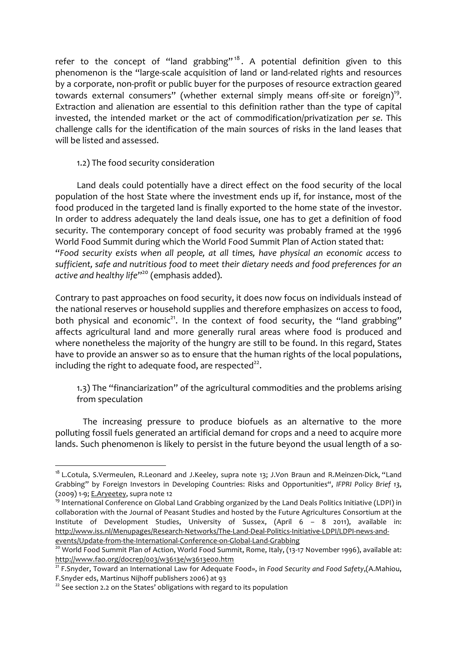refer to the concept of "land grabbing"<sup>18</sup>. A potential definition given to this phenomenon is the "large-scale acquisition of land or land-related rights and resources by a corporate, non-profit or public buyer for the purposes of resource extraction geared towards external consumers" (whether external simply means off-site or foreign)<sup>19</sup>. Extraction and alienation are essential to this definition rather than the type of capital invested, the intended market or the act of commodification/privatization per se. This challenge calls for the identification of the main sources of risks in the land leases that will be listed and assessed.

## 1.2) The food security consideration

Land deals could potentially have a direct effect on the food security of the local population of the host State where the investment ends up if, for instance, most of the food produced in the targeted land is finally exported to the home state of the investor. In order to address adequately the land deals issue, one has to get a definition of food security. The contemporary concept of food security was probably framed at the 1996 World Food Summit during which the World Food Summit Plan of Action stated that: "Food security exists when all people, at all times, have physical an economic access to sufficient, safe and nutritious food to meet their dietary needs and food preferences for an active and healthy life"<sup>20</sup> (emphasis added).

Contrary to past approaches on food security, it does now focus on individuals instead of the national reserves or household supplies and therefore emphasizes on access to food, both physical and economic<sup>21</sup>. In the context of food security, the "land grabbing" affects agricultural land and more generally rural areas where food is produced and where nonetheless the majority of the hungry are still to be found. In this regard, States have to provide an answer so as to ensure that the human rights of the local populations, including the right to adequate food, are respected<sup>22</sup>.

1.3) The "financiarization" of the agricultural commodities and the problems arising from speculation

The increasing pressure to produce biofuels as an alternative to the more polluting fossil fuels generated an artificial demand for crops and a need to acquire more lands. Such phenomenon is likely to persist in the future beyond the usual length of a so-

<sup>&</sup>lt;sup>18</sup> L.Cotula, S.Vermeulen, R.Leonard and J.Keeley, supra note 13; J.Von Braun and R.Meinzen-Dick, "Land Grabbing" by Foreign Investors in Developing Countries: Risks and Opportunities", IFPRI Policy Brief 13, (2009) 1-9; E.Aryeetey, supra note 12

<sup>&</sup>lt;sup>19</sup> International Conference on Global Land Grabbing organized by the Land Deals Politics Initiative (LDPI) in collaboration with the Journal of Peasant Studies and hosted by the Future Agricultures Consortium at the Institute of Development Studies, University of Sussex, (April 6 - 8 2011), available in: http://www.iss.nl/Menupages/Research-Networks/The-Land-Deal-Politics-Initiative-LDPI/LDPI-news-and-

events/Update-from-the-International-Conference-on-Global-Land-Grabbing

<sup>&</sup>lt;sup>20</sup> World Food Summit Plan of Action, World Food Summit, Rome, Italy, (13-17 November 1996), available at: http://www.fao.org/docrep/003/w3613e/w3613e00.htm

<sup>&</sup>lt;sup>21</sup> F.Snyder, Toward an International Law for Adequate Food», in Food Security and Food Safety, (A.Mahiou, F. Snyder eds, Martinus Nijhoff publishers 2006) at 93

<sup>&</sup>lt;sup>22</sup> See section 2.2 on the States' obligations with regard to its population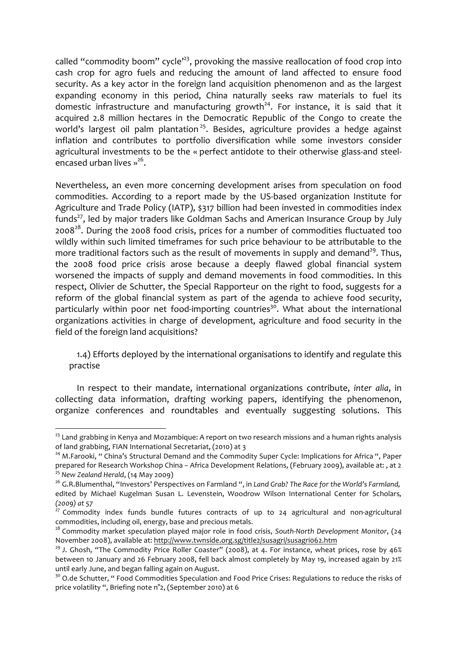called "commodity boom" cycle<sup> $23$ </sup>, provoking the massive reallocation of food crop into cash crop for agro fuels and reducing the amount of land affected to ensure food security. As a key actor in the foreign land acquisition phenomenon and as the largest expanding economy in this period, China naturally seeks raw materials to fuel its domestic infrastructure and manufacturing growth<sup>24</sup>. For instance, it is said that it acquired 2.8 million hectares in the Democratic Republic of the Congo to create the world's largest oil palm plantation<sup>25</sup>. Besides, agriculture provides a hedge against inflation and contributes to portfolio diversification while some investors consider agricultural investments to be the « perfect antidote to their otherwise glass-and steelencased urban lives  $v^{26}$ .

Nevertheless, an even more concerning development arises from speculation on food commodities. According to a report made by the US-based organization Institute for Agriculture and Trade Policy (IATP), \$317 billion had been invested in commodities index funds<sup>27</sup>, led by major traders like Goldman Sachs and American Insurance Group by July 2008 $^{28}$ . During the 2008 food crisis, prices for a number of commodities fluctuated too wildly within such limited timeframes for such price behaviour to be attributable to the more traditional factors such as the result of movements in supply and demand<sup>29</sup>. Thus, the 2008 food price crisis arose because a deeply flawed global financial system worsened the impacts of supply and demand movements in food commodities. In this respect, Olivier de Schutter, the Special Rapporteur on the right to food, suggests for a reform of the global financial system as part of the agenda to achieve food security, particularly within poor net food-importing countries<sup>30</sup>. What about the international organizations activities in charge of development, agriculture and food security in the field of the foreign land acquisitions?

1.4) Efforts deployed by the international organisations to identify and regulate this practise

In respect to their mandate, international organizations contribute, inter alia, in collecting data information, drafting working papers, identifying the phenomenon, organize conferences and roundtables and eventually suggesting solutions. This

<sup>&</sup>lt;sup>23</sup> Land grabbing in Kenya and Mozambique: A report on two research missions and a human rights analysis of land grabbing, FIAN International Secretariat, (2010) at 3

<sup>&</sup>lt;sup>24</sup> M.Farooki, " China's Structural Demand and the Commodity Super Cycle: Implications for Africa ", Paper prepared for Research Workshop China – Africa Development Relations, (February 2009), available at: , at 2 <sup>25</sup> New Zealand Herald, (14 May 2009)

<sup>&</sup>lt;sup>26</sup> G.R.Blumenthal, "Investors' Perspectives on Farmland ", in *Land Grab? The Race for the World's Farmland,* edited by Michael Kugelman Susan L. Levenstein, Woodrow Wilson International Center for Scholars, *(2009) at\$57*

 $27$  Commodity index funds bundle futures contracts of up to 24 agricultural and non-agricultural commodities, including oil, energy, base and precious metals.

<sup>&</sup>lt;sup>28</sup> Commodity market speculation played major role in food crisis, South-North Development Monitor, (24 November 2008), available at: http://www.twnside.org.sg/title2/susagri/susagri062.htm

 $29$  J. Ghosh, "The Commodity Price Roller Coaster" (2008), at 4. For instance, wheat prices, rose by 46% between 10 January and 26 February 2008, fell back almost completely by May 19, increased again by 21% until early June, and began falling again on August.

<sup>&</sup>lt;sup>30</sup> O.de Schutter, " Food Commodities Speculation and Food Price Crises: Regulations to reduce the risks of price volatility ", Briefing note n°2, (September 2010) at 6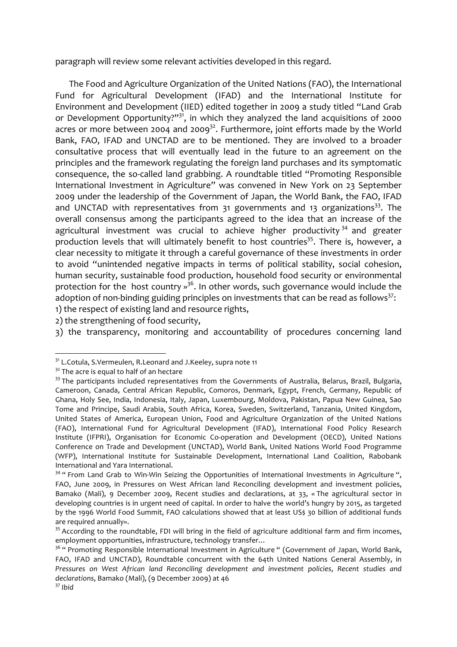paragraph will review some relevant activities developed in this regard.

The Food and Agriculture Organization of the United Nations (FAO), the International Fund for Agricultural Development (IFAD) and the International Institute for Environment and Development (IIED) edited together in 2009 a study titled "Land Grab or Development Opportunity?" $31$ , in which they analyzed the land acquisitions of 2000 acres or more between 2004 and 2009<sup>32</sup>. Furthermore, joint efforts made by the World Bank, FAO, IFAD and UNCTAD are to be mentioned. They are involved to a broader consultative process that will eventually lead in the future to an agreement on the principles and the framework regulating the foreign land purchases and its symptomatic consequence, the so-called land grabbing. A roundtable titled "Promoting Responsible International Investment in Agriculture" was convened in New York on 23 September 2009 under the leadership of the Government of Japan, the World Bank, the FAO, IFAD and UNCTAD with representatives from  $31$  governments and  $13$  organizations<sup>33</sup>. The overall consensus among the participants agreed to the idea that an increase of the agricultural investment was crucial to achieve higher productivity  $34$  and greater production levels that will ultimately benefit to host countries<sup>35</sup>. There is, however, a clear necessity to mitigate it through a careful governance of these investments in order to avoid "unintended negative impacts in terms of political stability, social cohesion, human security, sustainable food production, household food security or environmental protection for the host country »<sup>36</sup>. In other words, such governance would include the adoption of non-binding guiding principles on investments that can be read as follows<sup>37</sup>: 1) the respect of existing land and resource rights,

2) the strengthening of food security,

3) the transparency, monitoring and accountability of procedures concerning land

 $32$  The acre is equal to half of an hectare

<sup>&</sup>lt;sup>31</sup> L.Cotula, S.Vermeulen, R.Leonard and J.Keeley, supra note 11

 $33$  The participants included representatives from the Governments of Australia, Belarus, Brazil, Bulgaria, Cameroon, Canada, Central African Republic, Comoros, Denmark, Egypt, French, Germany, Republic of Ghana, Holy See, India, Indonesia, Italy, Japan, Luxembourg, Moldova, Pakistan, Papua New Guinea, Sao Tome and Principe, Saudi Arabia, South Africa, Korea, Sweden, Switzerland, Tanzania, United Kingdom, United States of America, European Union, Food and Agriculture Organization of the United Nations (FAO), International Fund for Agricultural Development (IFAD), International Food Policy Research Institute (IFPRI), Organisation for Economic Co-operation and Development (OECD), United Nations Conference on Trade and Development (UNCTAD), World Bank, United Nations World Food Programme (WFP), International Institute for Sustainable Development, International Land Coalition, Rabobank International and Yara International.

 $34$  " From Land Grab to Win-Win Seizing the Opportunities of International Investments in Agriculture ", FAO, June 2009, in Pressures on West African land Reconciling development and investment policies, Bamako (Mali), 9 December 2009, Recent studies and declarations, at 33, « The agricultural sector in developing countries is in urgent need of capital. In order to halve the world's hungry by 2015, as targeted by the 1996 World Food Summit, FAO calculations showed that at least US\$ 30 billion of additional funds are required annually».

<sup>&</sup>lt;sup>35</sup> According to the roundtable, FDI will bring in the field of agriculture additional farm and firm incomes, employment opportunities, infrastructure, technology transfer...

<sup>&</sup>lt;sup>36</sup> " Promoting Responsible International Investment in Agriculture " (Government of Japan, World Bank, FAO, IFAD and UNCTAD), Roundtable concurrent with the 64th United Nations General Assembly, in *Pressures on West African land Reconciling development and investment policies, Recent studies and* declarations, Bamako (Mali), (9 December 2009) at 46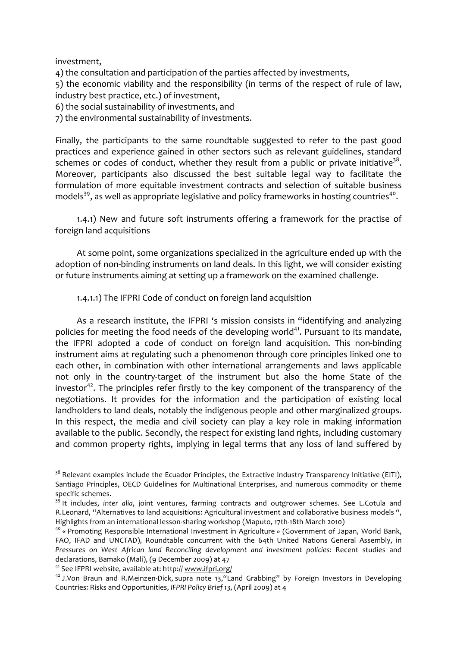investment.

4) the consultation and participation of the parties affected by investments,

5) the economic viability and the responsibility (in terms of the respect of rule of law, industry best practice, etc.) of investment,

6) the social sustainability of investments, and

7) the environmental sustainability of investments.

Finally, the participants to the same roundtable suggested to refer to the past good practices and experience gained in other sectors such as relevant guidelines, standard schemes or codes of conduct, whether they result from a public or private initiative<sup>38</sup>. Moreover, participants also discussed the best suitable legal way to facilitate the formulation of more equitable investment contracts and selection of suitable business models<sup>39</sup>, as well as appropriate legislative and policy frameworks in hosting countries<sup>40</sup>.

1.4.1) New and future soft instruments offering a framework for the practise of foreign land acquisitions

At some point, some organizations specialized in the agriculture ended up with the adoption of non-binding instruments on land deals. In this light, we will consider existing or future instruments aiming at setting up a framework on the examined challenge.

1.4.1.1) The IFPRI Code of conduct on foreign land acquisition

As a research institute, the IFPRI 's mission consists in "identifying and analyzing policies for meeting the food needs of the developing world<sup>41</sup>. Pursuant to its mandate, the IFPRI adopted a code of conduct on foreign land acquisition. This non-binding instrument aims at regulating such a phenomenon through core principles linked one to each other, in combination with other international arrangements and laws applicable not only in the country-target of the instrument but also the home State of the investor<sup>42</sup>. The principles refer firstly to the key component of the transparency of the negotiations. It provides for the information and the participation of existing local landholders to land deals, notably the indigenous people and other marginalized groups. In this respect, the media and civil society can play a key role in making information available to the public. Secondly, the respect for existing land rights, including customary and common property rights, implying in legal terms that any loss of land suffered by

<sup>&</sup>lt;sup>38</sup> Relevant examples include the Ecuador Principles, the Extractive Industry Transparency Initiative (EITI), Santiago Principles, OECD Guidelines for Multinational Enterprises, and numerous commodity or theme specific schemes.

<sup>&</sup>lt;sup>39</sup> It includes, inter alia, joint ventures, farming contracts and outgrower schemes. See L.Cotula and R.Leonard, "Alternatives to land acquisitions: Agricultural investment and collaborative business models ", Highlights from an international lesson-sharing workshop (Maputo, 17th-18th March 2010)

<sup>&</sup>lt;sup>40</sup> « Promoting Responsible International Investment in Agriculture » (Government of Japan, World Bank, FAO, IFAD and UNCTAD), Roundtable concurrent with the 64th United Nations General Assembly, in Pressures on West African land Reconciling development and investment policies: Recent studies and declarations, Bamako (Mali), (9 December 2009) at 47

<sup>&</sup>lt;sup>41</sup> See IFPRI website, available at: http:// www.ifpri.org/

<sup>&</sup>lt;sup>42</sup> J.Von Braun and R.Meinzen-Dick, supra note 13, "Land Grabbing" by Foreign Investors in Developing Countries: Risks and Opportunities, IFPRI Policy Brief 13, (April 2009) at 4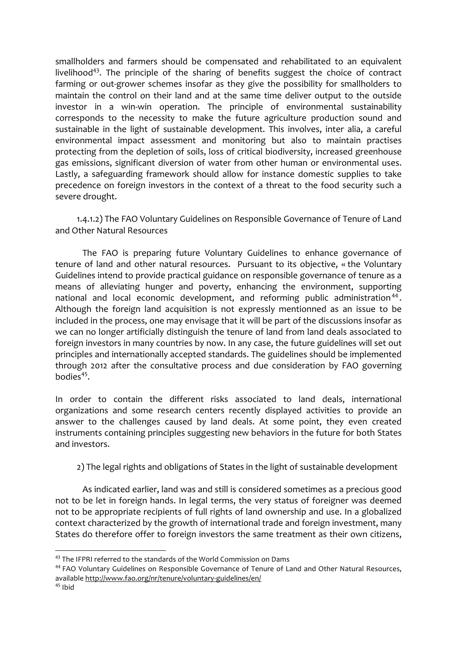smallholders and farmers should be compensated and rehabilitated to an equivalent livelihood<sup>43</sup>. The principle of the sharing of benefits suggest the choice of contract farming or out-grower schemes insofar as they give the possibility for smallholders to maintain the control on their land and at the same time deliver output to the outside investor in a win-win operation. The principle of environmental sustainability corresponds to the necessity to make the future agriculture production sound and sustainable in the light of sustainable development. This involves, inter alia, a careful environmental impact assessment and monitoring but also to maintain practises protecting from the depletion of soils, loss of critical biodiversity, increased greenhouse gas emissions, significant diversion of water from other human or environmental uses. Lastly, a safeguarding framework should allow for instance domestic supplies to take precedence on foreign investors in the context of a threat to the food security such a severe drought.

1.4.1.2) The FAO Voluntary Guidelines on Responsible Governance of Tenure of Land and Other Natural Resources

The FAO is preparing future Voluntary Guidelines to enhance governance of tenure of land and other natural resources. Pursuant to its objective, « the Voluntary Guidelines intend to provide practical guidance on responsible governance of tenure as a means of alleviating hunger and poverty, enhancing the environment, supporting national and local economic development, and reforming public administration<sup>44</sup>. Although the foreign land acquisition is not expressly mentionned as an issue to be included in the process, one may envisage that it will be part of the discussions insofar as we can no longer artificially distinguish the tenure of land from land deals associated to foreign investors in many countries by now. In any case, the future guidelines will set out principles and internationally accepted standards. The guidelines should be implemented through 2012 after the consultative process and due consideration by FAO governing  $b$ odies $45$ 

In order to contain the different risks associated to land deals, international organizations and some research centers recently displayed activities to provide an answer to the challenges caused by land deals. At some point, they even created instruments containing principles suggesting new behaviors in the future for both States and investors.

2) The legal rights and obligations of States in the light of sustainable development

As indicated earlier, land was and still is considered sometimes as a precious good not to be let in foreign hands. In legal terms, the very status of foreigner was deemed not to be appropriate recipients of full rights of land ownership and use. In a globalized context characterized by the growth of international trade and foreign investment, many States do therefore offer to foreign investors the same treatment as their own citizens,

<sup>&</sup>lt;sup>43</sup> The IFPRI referred to the standards of the World Commission on Dams

<sup>&</sup>lt;sup>44</sup> FAO Voluntary Guidelines on Responsible Governance of Tenure of Land and Other Natural Resources, available http://www.fao.org/nr/tenure/voluntary-guidelines/en/

 $45$  Ibid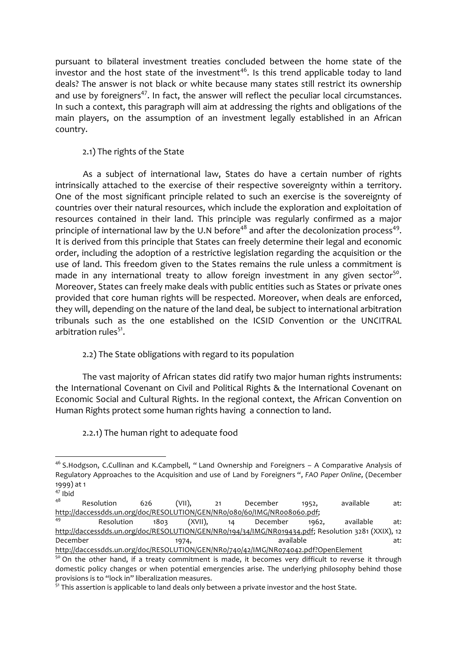pursuant to bilateral investment treaties concluded between the home state of the investor and the host state of the investment<sup>46</sup>. Is this trend applicable today to land deals? The answer is not black or white because many states still restrict its ownership and use by foreigners<sup>47</sup>. In fact, the answer will reflect the peculiar local circumstances. In such a context, this paragraph will aim at addressing the rights and obligations of the main players, on the assumption of an investment legally established in an African country.

## 2.1) The rights of the State

As a subject of international law. States do have a certain number of rights intrinsically attached to the exercise of their respective sovereignty within a territory. One of the most significant principle related to such an exercise is the sovereignty of countries over their natural resources, which include the exploration and exploitation of resources contained in their land. This principle was regularly confirmed as a major principle of international law by the U.N before<sup>48</sup> and after the decolonization process<sup>49</sup>. It is derived from this principle that States can freely determine their legal and economic order, including the adoption of a restrictive legislation regarding the acquisition or the use of land. This freedom given to the States remains the rule unless a commitment is made in any international treaty to allow foreign investment in any given sector<sup>50</sup>. Moreover, States can freely make deals with public entities such as States or private ones provided that core human rights will be respected. Moreover, when deals are enforced, they will, depending on the nature of the land deal, be subject to international arbitration tribunals such as the one established on the ICSID Convention or the UNCITRAL arbitration rules<sup>51</sup>.

## 2.2) The State obligations with regard to its population

The vast majority of African states did ratify two major human rights instruments: the International Covenant on Civil and Political Rights & the International Covenant on Economic Social and Cultural Rights. In the regional context, the African Convention on Human Rights protect some human rights having a connection to land.

## 2.2.1) The human right to adequate food

<sup>&</sup>lt;sup>46</sup> S.Hodgson, C.Cullinan and K.Campbell, "Land Ownership and Foreigners - A Comparative Analysis of Regulatory Approaches to the Acquisition and use of Land by Foreigners ", FAO Paper Online, (December 1999) at 1

 $47$  Ibid

<sup>48</sup> Resolution 626  $(VII)$ . December available  $at:$  $21$ 1952, http://daccessdds.un.org/doc/RESOLUTION/GEN/NRo/080/60/IMG/NRoo8060.pdf;

<sup>49</sup> Resolution 1803  $(XVII)$ ,  $14$ December 1962, available  $at:$ http://daccessdds.un.org/doc/RESOLUTION/GEN/NRo/194/34/IMG/NRo19434.pdf; Resolution 3281 (XXIX), 12 December available 1974,  $at:$ http://daccessdds.un.org/doc/RESOLUTION/GEN/NRo/740/42/IMG/NRo74042.pdf?OpenElement

<sup>&</sup>lt;sup>50</sup> On the other hand, if a treaty commitment is made, it becomes very difficult to reverse it through domestic policy changes or when potential emergencies arise. The underlying philosophy behind those provisions is to "lock in" liberalization measures.

<sup>&</sup>lt;sup>51</sup> This assertion is applicable to land deals only between a private investor and the host State.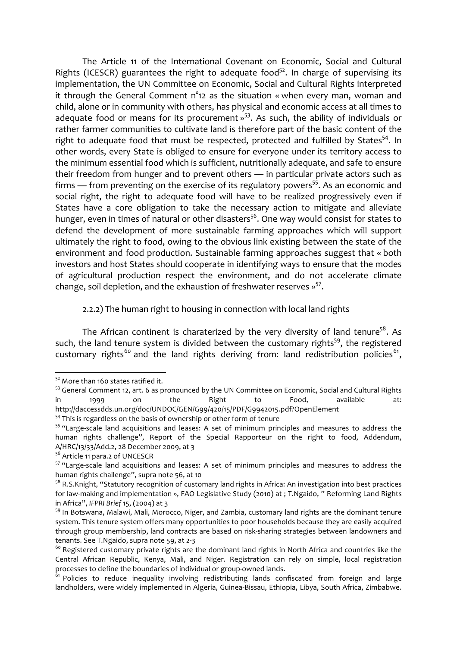The Article 11 of the International Covenant on Economic, Social and Cultural Rights (ICESCR) guarantees the right to adequate food<sup>52</sup>. In charge of supervising its implementation, the UN Committee on Economic, Social and Cultural Rights interpreted it through the General Comment  $n^2$ 12 as the situation « when every man, woman and child, alone or in community with others, has physical and economic access at all times to adequate food or means for its procurement  $v^{53}$ . As such, the ability of individuals or rather farmer communities to cultivate land is therefore part of the basic content of the right to adequate food that must be respected, protected and fulfilled by States<sup>54</sup>. In other words, every State is obliged to ensure for everyone under its territory access to the minimum essential food which is sufficient, nutritionally adequate, and safe to ensure their freedom from hunger and to prevent others - in particular private actors such as firms  $-$  from preventing on the exercise of its regulatory powers<sup>55</sup>. As an economic and social right, the right to adequate food will have to be realized progressively even if States have a core obligation to take the necessary action to mitigate and alleviate hunger, even in times of natural or other disasters<sup>56</sup>. One way would consist for states to defend the development of more sustainable farming approaches which will support ultimately the right to food, owing to the obvious link existing between the state of the environment and food production. Sustainable farming approaches suggest that « both investors and host States should cooperate in identifying ways to ensure that the modes of agricultural production respect the environment, and do not accelerate climate change, soil depletion, and the exhaustion of freshwater reserves »<sup>57</sup>.

#### 2.2.2) The human right to housing in connection with local land rights

The African continent is charaterized by the very diversity of land tenure<sup>58</sup>. As such, the land tenure system is divided between the customary rights<sup>59</sup>, the registered customary rights<sup>60</sup> and the land rights deriving from: land redistribution policies<sup>61</sup>,

<sup>&</sup>lt;sup>52</sup> More than 160 states ratified it.

<sup>&</sup>lt;sup>53</sup> General Comment 12, art. 6 as pronounced by the UN Committee on Economic, Social and Cultural Rights available  $in$ the Right Food, 1999 on to  $at:$ http://daccessdds.un.org/doc/UNDOC/GEN/G99/420/15/PDF/G9942015.pdf?OpenElement

<sup>&</sup>lt;sup>54</sup> This is regardless on the basis of ownership or other form of tenure

<sup>&</sup>lt;sup>55</sup> "Large-scale land acquisitions and leases: A set of minimum principles and measures to address the human rights challenge", Report of the Special Rapporteur on the right to food, Addendum, A/HRC/13/33/Add.2, 28 December 2009, at 3

<sup>&</sup>lt;sup>56</sup> Article 11 para.2 of UNCESCR

<sup>&</sup>lt;sup>57</sup> "Large-scale land acquisitions and leases: A set of minimum principles and measures to address the human rights challenge", supra note 56, at 10

<sup>&</sup>lt;sup>58</sup> R.S.Knight, "Statutory recognition of customary land rights in Africa: An investigation into best practices for law-making and implementation », FAO Legislative Study (2010) at ; T.Ngaido, "Reforming Land Rights in Africa", IFPRI Brief 15, (2004) at 3

<sup>&</sup>lt;sup>59</sup> In Botswana, Malawi, Mali, Morocco, Niger, and Zambia, customary land rights are the dominant tenure system. This tenure system offers many opportunities to poor households because they are easily acquired through group membership, land contracts are based on risk-sharing strategies between landowners and tenants. See T.Ngaido, supra note 59, at 2-3

<sup>&</sup>lt;sup>60</sup> Registered customary private rights are the dominant land rights in North Africa and countries like the Central African Republic, Kenya, Mali, and Niger. Registration can rely on simple, local registration processes to define the boundaries of individual or group-owned lands.

<sup>&</sup>lt;sup>61</sup> Policies to reduce inequality involving redistributing lands confiscated from foreign and large landholders, were widely implemented in Algeria, Guinea-Bissau, Ethiopia, Libya, South Africa, Zimbabwe.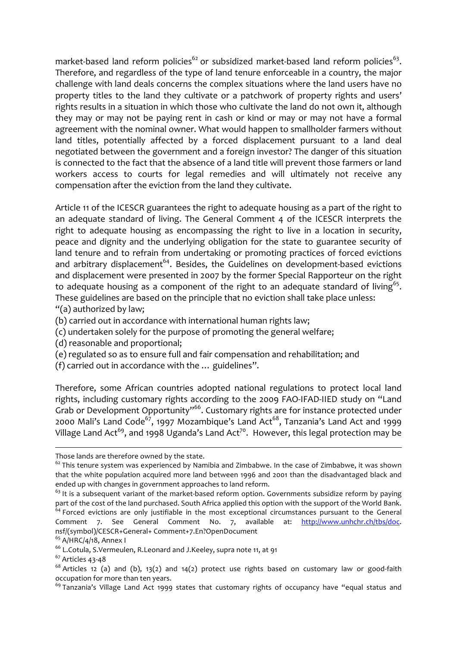market-based land reform policies<sup>62</sup> or subsidized market-based land reform policies<sup>63</sup>. Therefore, and regardless of the type of land tenure enforceable in a country, the major challenge with land deals concerns the complex situations where the land users have no property titles to the land they cultivate or a patchwork of property rights and users' rights results in a situation in which those who cultivate the land do not own it, although they may or may not be paying rent in cash or kind or may or may not have a formal agreement with the nominal owner. What would happen to smallholder farmers without land titles, potentially affected by a forced displacement pursuant to a land deal negotiated between the government and a foreign investor? The danger of this situation is connected to the fact that the absence of a land title will prevent those farmers or land workers access to courts for legal remedies and will ultimately not receive any compensation after the eviction from the land they cultivate.

Article 11 of the ICESCR guarantees the right to adequate housing as a part of the right to an adequate standard of living. The General Comment 4 of the ICESCR interprets the right to adequate housing as encompassing the right to live in a location in security, peace and dignity and the underlying obligation for the state to guarantee security of land tenure and to refrain from undertaking or promoting practices of forced evictions and arbitrary displacement<sup>64</sup>. Besides, the Guidelines on development-based evictions and displacement were presented in 2007 by the former Special Rapporteur on the right to adequate housing as a component of the right to an adequate standard of living<sup>65</sup>. These guidelines are based on the principle that no eviction shall take place unless:  $"$ (a) authorized by law;

- (b) carried out in accordance with international human rights law;
- (c) undertaken solely for the purpose of promoting the general welfare;
- (d) reasonable and proportional;
- (e) regulated so as to ensure full and fair compensation and rehabilitation; and
- (f) carried out in accordance with the  $\ldots$  guidelines".

Therefore, some African countries adopted national regulations to protect local land rights, including customary rights according to the 2009 FAO-IFAD-IIED study on "Land Grab or Development Opportunity"<sup>66</sup>. Customary rights are for instance protected under 2000 Mali's Land Code<sup>67</sup>, 1997 Mozambique's Land Act<sup>68</sup>, Tanzania's Land Act and 1999 Village Land Act<sup>69</sup>, and 1998 Uganda's Land Act<sup>70</sup>. However, this legal protection may be

!!!!!!!!!!!!!!!!!!!!!!!!!!!!!!!!!!!!!!!!!!!!!!!!!!!!!!!!!!!!!!!!!!!!!!!!!!!!!!!!!!!!!!!!!!!!!!!!!!!!!!!!!!!!!!!!!!!!!!!!!!!!!!!!!!!!!!!!!!!!!!!!!!!!!!!!!!!!!!!!!!!!!!!!!!!

Those lands are therefore owned by the state.

 $62$  This tenure system was experienced by Namibia and Zimbabwe. In the case of Zimbabwe, it was shown that the white population acquired more land between 1996 and 2001 than the disadvantaged black and ended up with changes in government approaches to land reform.

 $63$  It is a subsequent variant of the market-based reform option. Governments subsidize reform by paying part of the cost of the land purchased. South Africa applied this option with the support of the World Bank.  $<sup>64</sup>$  Forced evictions are only justifiable in the most exceptional circumstances pursuant to the General</sup> Comment 7. See General Comment No. 7, available at: http://www.unhchr.ch/tbs/doc. nsf/(symbol)/CESCR+General+ Comment+7.En?OpenDocument

 $65$  A/HRC/4/18, Annex I

<sup>&</sup>lt;sup>66</sup> L.Cotula, S.Vermeulen, R.Leonard and J.Keeley, supra note 11, at 91

 $67$  Articles 43-48

 $68$  Articles 12 (a) and (b), 13(2) and 14(2) protect use rights based on customary law or good-faith occupation for more than ten years.

 $^{69}$  Tanzania's Village Land Act 1999 states that customary rights of occupancy have "equal status and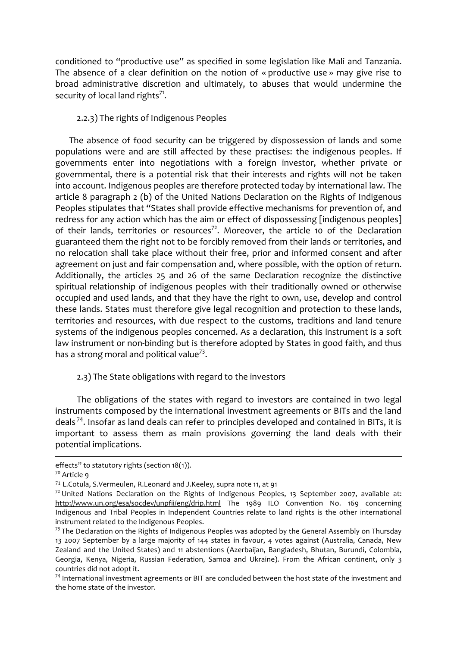conditioned to "productive use" as specified in some legislation like Mali and Tanzania. The absence of a clear definition on the notion of « productive use » may give rise to broad administrative discretion and ultimately, to abuses that would undermine the security of local land rights<sup>71</sup>.

## 2.2.3) The rights of Indigenous Peoples

The absence of food security can be triggered by dispossession of lands and some populations were and are still affected by these practises: the indigenous peoples. If governments enter into negotiations with a foreign investor, whether private or governmental, there is a potential risk that their interests and rights will not be taken into account. Indigenous peoples are therefore protected today by international law. The article 8 paragraph 2 (b) of the United Nations Declaration on the Rights of Indigenous Peoples stipulates that "States shall provide effective mechanisms for prevention of, and redress for any action which has the aim or effect of dispossessing [indigenous peoples] of their lands, territories or resources<sup>72</sup>. Moreover, the article 10 of the Declaration guaranteed them the right not to be forcibly removed from their lands or territories, and no relocation shall take place without their free, prior and informed consent and after agreement on just and fair compensation and, where possible, with the option of return. Additionally, the articles 25 and 26 of the same Declaration recognize the distinctive spiritual relationship of indigenous peoples with their traditionally owned or otherwise occupied and used lands, and that they have the right to own, use, develop and control these lands. States must therefore give legal recognition and protection to these lands, territories and resources, with due respect to the customs, traditions and land tenure systems of the indigenous peoples concerned. As a declaration, this instrument is a soft law instrument or non-binding but is therefore adopted by States in good faith, and thus has a strong moral and political value<sup>73</sup>.

#### 2.3) The State obligations with regard to the investors

The obligations of the states with regard to investors are contained in two legal instruments composed by the international investment agreements or BITs and the land deals<sup>74</sup>. Insofar as land deals can refer to principles developed and contained in BITs, it is important to assess them as main provisions governing the land deals with their potential implications.

effects" to statutory rights (section 18(1)).

<sup>7</sup>º Article 9

<sup>&</sup>lt;sup>71</sup> L.Cotula, S.Vermeulen, R.Leonard and J.Keeley, supra note 11, at 91

 $72$  United Nations Declaration on the Rights of Indigenous Peoples, 13 September 2007, available at: http://www.un.org/esa/socdev/unpfii/eng/drip.html The 1989 ILO Convention No. 169 concerning Indigenous and Tribal Peoples in Independent Countries relate to land rights is the other international instrument related to the Indigenous Peoples.

<sup>&</sup>lt;sup>73</sup> The Declaration on the Rights of Indigenous Peoples was adopted by the General Assembly on Thursday 13 2007 September by a large majority of 144 states in favour, 4 votes against (Australia, Canada, New Zealand and the United States) and 11 abstentions (Azerbaijan, Bangladesh, Bhutan, Burundi, Colombia, Georgia, Kenya, Nigeria, Russian Federation, Samoa and Ukraine). From the African continent, only 3 countries did not adopt it.

<sup>&</sup>lt;sup>74</sup> International investment agreements or BIT are concluded between the host state of the investment and the home state of the investor.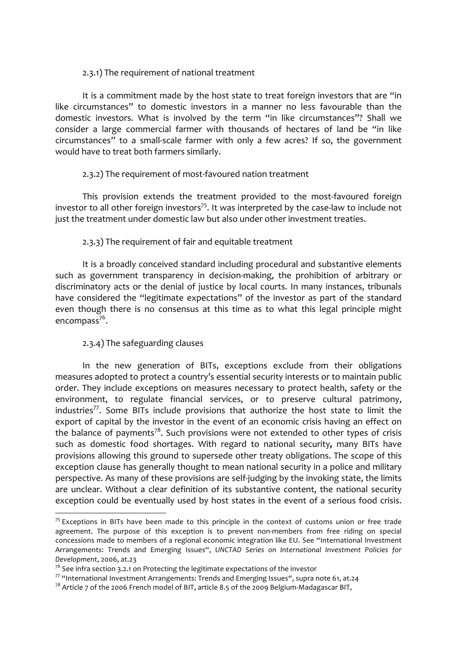## 2.3.1) The requirement of national treatment

It is a commitment made by the host state to treat foreign investors that are "in like circumstances" to domestic investors in a manner no less favourable than the domestic investors. What is involved by the term "in like circumstances"? Shall we consider a large commercial farmer with thousands of hectares of land be "in like circumstances" to a small-scale farmer with only a few acres? If so, the government would have to treat both farmers similarly.

## 2.3.2) The requirement of most-favoured nation treatment

This provision extends the treatment provided to the most-favoured foreign investor to all other foreign investors<sup>75</sup>. It was interpreted by the case-law to include not just the treatment under domestic law but also under other investment treaties.

## 2.3.3) The requirement of fair and equitable treatment

It is a broadly conceived standard including procedural and substantive elements such as government transparency in decision-making, the prohibition of arbitrary or discriminatory acts or the denial of justice by local courts. In many instances, tribunals have considered the "legitimate expectations" of the investor as part of the standard even though there is no consensus at this time as to what this legal principle might encompass $^{76}$ .

## 2.3.4) The safeguarding clauses

!!!!!!!!!!!!!!!!!!!!!!!!!!!!!!!!!!!!!!!!!!!!!!!!!!!!!!!

In the new generation of BITs, exceptions exclude from their obligations measures adopted to protect a country's essential security interests or to maintain public order. They include exceptions on measures necessary to protect health, safety or the environment, to regulate financial services, or to preserve cultural patrimony, industries<sup>77</sup>. Some BITs include provisions that authorize the host state to limit the export of capital by the investor in the event of an economic crisis having an effect on the balance of payments<sup>78</sup>. Such provisions were not extended to other types of crisis such as domestic food shortages. With regard to national security, many BITs have provisions allowing this ground to supersede other treaty obligations. The scope of this exception clause has generally thought to mean national security in a police and military perspective. As many of these provisions are self-judging by the invoking state, the limits are unclear. Without a clear definition of its substantive content, the national security exception could be eventually used by host states in the event of a serious food crisis.

 $75$  Exceptions in BITs have been made to this principle in the context of customs union or free trade agreement. The purpose of this exception is to prevent non-members from free riding on special concessions made to members of a regional economic integration like EU. See "International Investment Arrangements: Trends and Emerging Issues", UNCTAD Series on International Investment Policies for *Development*, 2006, at.23

 $7^6$  See infra section 3.2.1 on Protecting the legitimate expectations of the investor

 $77$  "International Investment Arrangements: Trends and Emerging Issues", supra note 61, at.24

 $78$  Article 7 of the 2006 French model of BIT, article 8.5 of the 2009 Belgium-Madagascar BIT,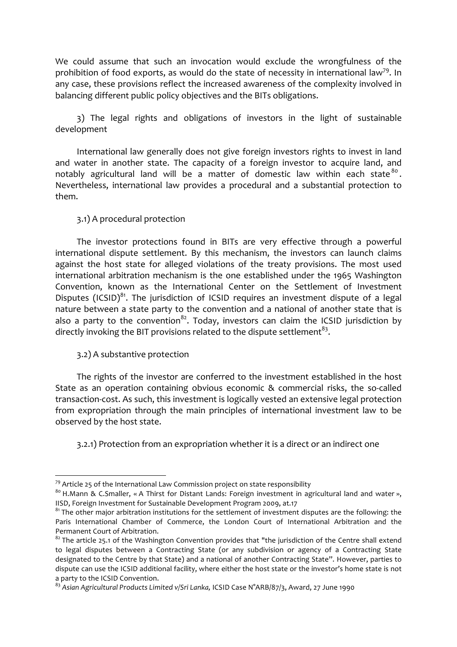We could assume that such an invocation would exclude the wrongfulness of the prohibition of food exports, as would do the state of necessity in international law<sup>79</sup>. In any case, these provisions reflect the increased awareness of the complexity involved in balancing different public policy objectives and the BITs obligations.

3) The legal rights and obligations of investors in the light of sustainable development

International law generally does not give foreign investors rights to invest in land and water in another state. The capacity of a foreign investor to acquire land, and notably agricultural land will be a matter of domestic law within each state  $80$  . Nevertheless, international law provides a procedural and a substantial protection to them.

#### 3.1) A procedural protection

The investor protections found in BITs are very effective through a powerful international dispute settlement. By this mechanism, the investors can launch claims against the host state for alleged violations of the treaty provisions. The most used international arbitration mechanism is the one established under the 1965 Washington Convention, known as the International Center on the Settlement of Investment Disputes (ICSID) $^{81}$ . The jurisdiction of ICSID requires an investment dispute of a legal nature between a state party to the convention and a national of another state that is also a party to the convention<sup>82</sup>. Today, investors can claim the ICSID jurisdiction by directly invoking the BIT provisions related to the dispute settlement<sup>83</sup>.

#### 3.2) A substantive protection

!!!!!!!!!!!!!!!!!!!!!!!!!!!!!!!!!!!!!!!!!!!!!!!!!!!!!!!

The rights of the investor are conferred to the investment established in the host State as an operation containing obvious economic  $&$  commercial risks, the so-called transaction-cost. As such, this investment is logically vested an extensive legal protection from expropriation through the main principles of international investment law to be observed by the host state.

3.2.1) Protection from an expropriation whether it is a direct or an indirect one

 $79$  Article 25 of the International Law Commission project on state responsibility

 $80$  H.Mann & C.Smaller, « A Thirst for Distant Lands: Foreign investment in agricultural land and water », IISD, Foreign Investment for Sustainable Development Program 2009, at.17

 $81$ <sup>81</sup> The other major arbitration institutions for the settlement of investment disputes are the following: the Paris International Chamber of Commerce, the London Court of International Arbitration and the Permanent Court of Arbitration.

 $82$  The article 25.1 of the Washington Convention provides that "the jurisdiction of the Centre shall extend to legal disputes between a Contracting State (or any subdivision or agency of a Contracting State designated to the Centre by that State) and a national of another Contracting State". However, parties to dispute can use the ICSID additional facility, where either the host state or the investor's home state is not a party to the ICSID Convention.

<sup>&</sup>lt;sup>83</sup> Asian Agricultural Products Limited v/Sri Lanka, ICSID Case N°ARB/87/3, Award, 27 June 1990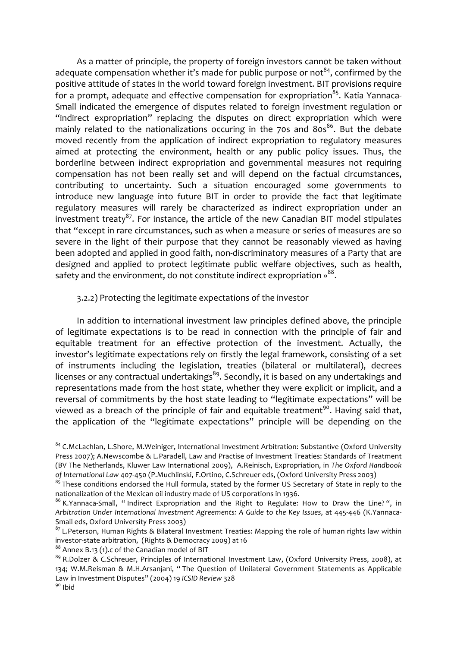As a matter of principle, the property of foreign investors cannot be taken without adequate compensation whether it's made for public purpose or not<sup>84</sup>, confirmed by the positive attitude of states in the world toward foreign investment. BIT provisions require for a prompt, adequate and effective compensation for expropriation<sup>85</sup>. Katia Yannaca-Small indicated the emergence of disputes related to foreign investment regulation or "indirect expropriation" replacing the disputes on direct expropriation which were mainly related to the nationalizations occuring in the 70s and 80s<sup>86</sup>. But the debate moved recently from the application of indirect expropriation to regulatory measures aimed at protecting the environment, health or any public policy issues. Thus, the borderline between indirect expropriation and governmental measures not requiring compensation has not been really set and will depend on the factual circumstances, contributing to uncertainty. Such a situation encouraged some governments to introduce new language into future BIT in order to provide the fact that legitimate regulatory measures will rarely be characterized as indirect expropriation under an investment treaty<sup>87</sup>. For instance, the article of the new Canadian BIT model stipulates that "except in rare circumstances, such as when a measure or series of measures are so severe in the light of their purpose that they cannot be reasonably viewed as having been adopted and applied in good faith, non-discriminatory measures of a Party that are designed and applied to protect legitimate public welfare objectives, such as health, safety and the environment, do not constitute indirect expropriation »<sup>88</sup>.

#### 3.2.2) Protecting the legitimate expectations of the investor

In addition to international investment law principles defined above, the principle of legitimate expectations is to be read in connection with the principle of fair and equitable treatment for an effective protection of the investment. Actually, the investor's legitimate expectations rely on firstly the legal framework, consisting of a set of instruments including the legislation, treaties (bilateral or multilateral), decrees licenses or any contractual undertakings<sup>89</sup>. Secondly, it is based on any undertakings and representations made from the host state, whether they were explicit or implicit, and a reversal of commitments by the host state leading to "legitimate expectations" will be viewed as a breach of the principle of fair and equitable treatment<sup>90</sup>. Having said that, the application of the "legitimate expectations" principle will be depending on the

<sup>88</sup> Annex B.13 (1).c of the Canadian model of BIT

<sup>&</sup>lt;sup>84</sup> C.McLachlan, L.Shore, M.Weiniger, International Investment Arbitration: Substantive (Oxford University Press 2007); A.Newscombe & L.Paradell, Law and Practise of Investment Treaties: Standards of Treatment (BV The Netherlands, Kluwer Law International 2009), A.Reinisch, Expropriation, in The Oxford Handbook of International Law 407-450 (P.Muchlinski, F.Ortino, C.Schreuer eds, (Oxford University Press 2003)

 $85$  These conditions endorsed the Hull formula, stated by the former US Secretary of State in reply to the nationalization of the Mexican oil industry made of US corporations in 1936.

<sup>&</sup>lt;sup>86</sup> K. Yannaca-Small, "Indirect Expropriation and the Right to Regulate: How to Draw the Line?", in Arbitration Under International Investment Agreements: A Guide to the Key Issues, at 445-446 (K.Yannaca-Small eds, Oxford University Press 2003)

<sup>87</sup> L.Peterson, Human Rights & Bilateral Investment Treaties: Mapping the role of human rights law within investor-state arbitration, (Rights & Democracy 2009) at 16

<sup>89</sup> R.Dolzer & C.Schreuer, Principles of International Investment Law, (Oxford University Press, 2008), at 134; W.M.Reisman & M.H.Arsanjani, "The Question of Unilateral Government Statements as Applicable Law in Investment Disputes" (2004) 19 ICSID Review 328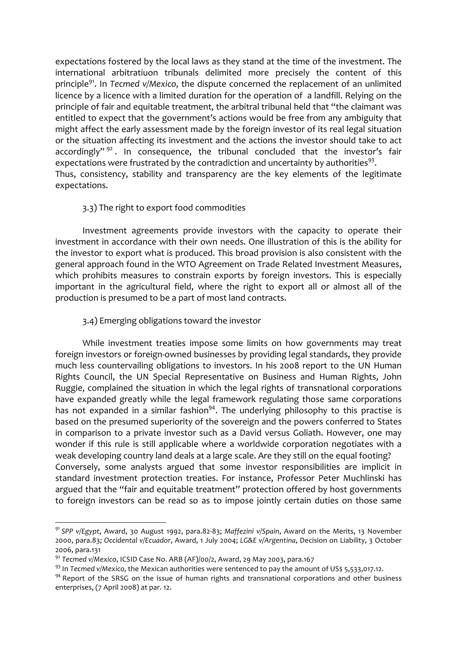expectations fostered by the local laws as they stand at the time of the investment. The international arbitratiuon tribunals delimited more precisely the content of this principle<sup>91</sup>. In Tecmed v/Mexico, the dispute concerned the replacement of an unlimited licence by a licence with a limited duration for the operation of a landfill. Relying on the principle of fair and equitable treatment, the arbitral tribunal held that "the claimant was entitled to expect that the government's actions would be free from any ambiguity that might affect the early assessment made by the foreign investor of its real legal situation or the situation affecting its investment and the actions the investor should take to act accordingly" $92$ . In consequence, the tribunal concluded that the investor's fair expectations were frustrated by the contradiction and uncertainty by authorities<sup>93</sup>. Thus, consistency, stability and transparency are the key elements of the legitimate expectations.

## 3.3) The right to export food commodities

Investment agreements provide investors with the capacity to operate their investment in accordance with their own needs. One illustration of this is the ability for the investor to export what is produced. This broad provision is also consistent with the general approach found in the WTO Agreement on Trade Related Investment Measures, which prohibits measures to constrain exports by foreign investors. This is especially important in the agricultural field, where the right to export all or almost all of the production is presumed to be a part of most land contracts.

## 3.4) Emerging obligations toward the investor

While investment treaties impose some limits on how governments may treat foreign investors or foreign-owned businesses by providing legal standards, they provide much less countervailing obligations to investors. In his 2008 report to the UN Human Rights Council, the UN Special Representative on Business and Human Rights, John Ruggie, complained the situation in which the legal rights of transnational corporations have expanded greatly while the legal framework regulating those same corporations has not expanded in a similar fashion<sup>94</sup>. The underlying philosophy to this practise is based on the presumed superiority of the sovereign and the powers conferred to States in comparison to a private investor such as a David versus Goliath. However, one may wonder if this rule is still applicable where a worldwide corporation negotiates with a weak developing country land deals at a large scale. Are they still on the equal footing? Conversely, some analysts argued that some investor responsibilities are implicit in standard investment protection treaties. For instance, Professor Peter Muchlinski has argued that the "fair and equitable treatment" protection offered by host governments to foreign investors can be read so as to impose jointly certain duties on those same

<sup>&</sup>lt;sup>91</sup> SPP v/Egypt, Award, 30 August 1992, para.82-83; Maffezini v/Spain, Award on the Merits, 13 November 2000, para.83; Occidental v/Ecuador, Award, 1 July 2004; LG&E v/Argentina, Decision on Liability, 3 October 2006, para.131

<sup>92</sup> Tecmed v/Mexico, ICSID Case No. ARB (AF)/00/2, Award, 29 May 2003, para.167

<sup>&</sup>lt;sup>93</sup> In Tecmed v/Mexico, the Mexican authorities were sentenced to pay the amount of USs 5,533,017.12.

<sup>&</sup>lt;sup>94</sup> Report of the SRSG on the issue of human rights and transnational corporations and other business enterprises, (7 April 2008) at par. 12.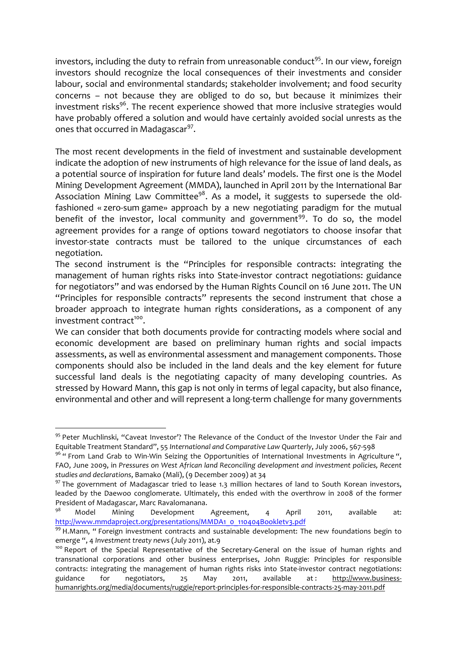investors, including the duty to refrain from unreasonable conduct<sup>95</sup>. In our view, foreign investors should recognize the local consequences of their investments and consider labour, social and environmental standards; stakeholder involvement; and food security concerns – not because they are obliged to do so, but because it minimizes their investment risks<sup>96</sup>. The recent experience showed that more inclusive strategies would have probably offered a solution and would have certainly avoided social unrests as the ones that occurred in Madagascar<sup>97</sup>.

The most recent developments in the field of investment and sustainable development indicate the adoption of new instruments of high relevance for the issue of land deals, as a potential source of inspiration for future land deals' models. The first one is the Model Mining Development Agreement (MMDA), launched in April 2011 by the International Bar Association Mining Law Committee<sup>98</sup>. As a model, it suggests to supersede the oldfashioned « zero-sum game» approach by a new negotiating paradigm for the mutual benefit of the investor, local community and government<sup>99</sup>. To do so, the model agreement provides for a range of options toward negotiators to choose insofar that investor-state contracts must be tailored to the unique circumstances of each negotiation.

The second instrument is the "Principles for responsible contracts: integrating the management of human rights risks into State-investor contract negotiations: guidance for negotiators" and was endorsed by the Human Rights Council on 16 June 2011. The UN "Principles for responsible contracts" represents the second instrument that chose a broader approach to integrate human rights considerations, as a component of any investment contract<sup>100</sup>.

We can consider that both documents provide for contracting models where social and economic development are based on preliminary human rights and social impacts assessments, as well as environmental assessment and management components. Those components should also be included in the land deals and the key element for future successful land deals is the negotiating capacity of many developing countries. As stressed by Howard Mann, this gap is not only in terms of legal capacity, but also finance, environmental and other and will represent a long-term challenge for many governments

 $95$  Peter Muchlinski, "Caveat Investor'? The Relevance of the Conduct of the Investor Under the Fair and Equitable Treatment Standard", 55 International and Comparative Law Quarterly, July 2006, 567-598

 $96$  " From Land Grab to Win-Win Seizing the Opportunities of International Investments in Agriculture ", FAO, June 2009, in Pressures on West African land Reconciling development and investment policies, Recent studies and declarations, Bamako (Mali), (9 December 2009) at 34

 $97$  The government of Madagascar tried to lease 1.3 million hectares of land to South Korean investors, leaded by the Daewoo conglomerate. Ultimately, this ended with the overthrow in 2008 of the former President of Madagascar, Marc Ravalomanana.<br><sup>98</sup> Madel Minipeg - Ravalomant.

Model Mining Development Agreement, 4 April 2011, available at: http://www.mmdaproject.org/presentations/MMDA1\_0\_110404Bookletv3.pdf

 $99$  H.Mann, " Foreign investment contracts and sustainable development: The new foundations begin to emerge ", 4 *Investment treaty news* (July 2011), at.9

<sup>&</sup>lt;sup>100</sup> Report of the Special Representative of the Secretary-General on the issue of human rights and transnational corporations and other business enterprises, John Ruggie: Principles for responsible contracts: integrating the management of human rights risks into State-investor contract negotiations: guidance for negotiators, 25 May 2011, available at: http://www.businesshumanrights.org/media/documents/ruggie/report-principles-for-responsible-contracts-25-may-2011.pdf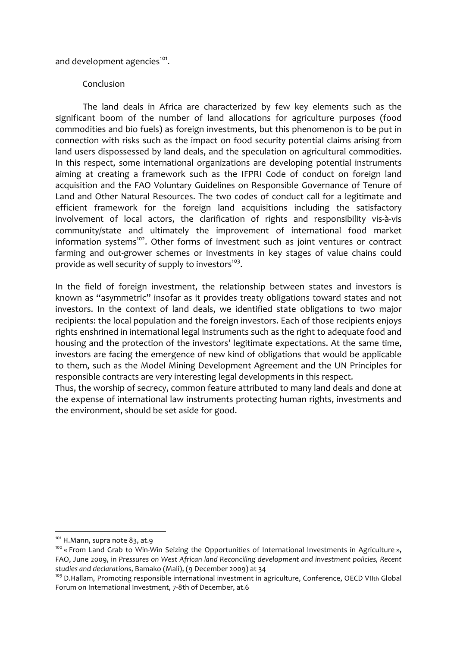and development agencies<sup>101</sup>.

### Conclusion

The land deals in Africa are characterized by few key elements such as the significant boom of the number of land allocations for agriculture purposes (food commodities and bio fuels) as foreign investments, but this phenomenon is to be put in connection with risks such as the impact on food security potential claims arising from land users dispossessed by land deals, and the speculation on agricultural commodities. In this respect, some international organizations are developing potential instruments aiming at creating a framework such as the IFPRI Code of conduct on foreign land acquisition and the FAO Voluntary Guidelines on Responsible Governance of Tenure of Land and Other Natural Resources. The two codes of conduct call for a legitimate and efficient framework for the foreign land acquisitions including the satisfactory involvement of local actors, the clarification of rights and responsibility vis-à-vis community/state and ultimately the improvement of international food market information systems<sup>102</sup>. Other forms of investment such as joint ventures or contract farming and out-grower schemes or investments in key stages of value chains could provide as well security of supply to investors<sup>103</sup>.

In the field of foreign investment, the relationship between states and investors is known as "asymmetric" insofar as it provides treaty obligations toward states and not investors. In the context of land deals, we identified state obligations to two major recipients: the local population and the foreign investors. Each of those recipients enjoys rights enshrined in international legal instruments such as the right to adequate food and housing and the protection of the investors' legitimate expectations. At the same time, investors are facing the emergence of new kind of obligations that would be applicable to them, such as the Model Mining Development Agreement and the UN Principles for responsible contracts are very interesting legal developments in this respect.

Thus, the worship of secrecy, common feature attributed to many land deals and done at the expense of international law instruments protecting human rights, investments and the environment, should be set aside for good.

 $101$  H.Mann, supra note 83, at.9

 $102 \times$  From Land Grab to Win-Win Seizing the Opportunities of International Investments in Agriculture », FAO, June 2009, in Pressures on West African land Reconciling development and investment policies, Recent studies and declarations, Bamako (Mali), (9 December 2009) at 34

 $103$  D.Hallam, Promoting responsible international investment in agriculture, Conference, OECD VIIth Global Forum on International Investment, 7-8th of December, at.6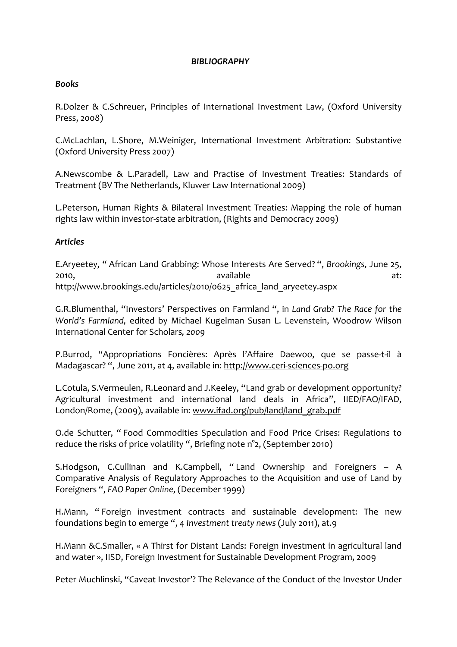#### **BIBLIOGRAPHY**

#### **Books**

R.Dolzer & C.Schreuer, Principles of International Investment Law, (Oxford University Press, 2008)

C.McLachlan, L.Shore, M.Weiniger, International Investment Arbitration: Substantive (Oxford University Press 2007)

A.Newscombe & L.Paradell, Law and Practise of Investment Treaties: Standards of Treatment (BV The Netherlands, Kluwer Law International 2009)

L.Peterson, Human Rights & Bilateral Investment Treaties: Mapping the role of human rights law within investor-state arbitration, (Rights and Democracy 2009)

## **Articles**

E.Aryeetey, "African Land Grabbing: Whose Interests Are Served? ", Brookings, June 25, available 2010.  $\lambda$ http://www.brookings.edu/articles/2010/0625 africa land aryeetey.aspx

G.R.Blumenthal, "Investors' Perspectives on Farmland ", in Land Grab? The Race for the World's Farmland, edited by Michael Kugelman Susan L. Levenstein, Woodrow Wilson International Center for Scholars, 2009

P.Burrod, "Appropriations Foncières: Après l'Affaire Daewoo, que se passe-t-il à Madagascar? ", June 2011, at 4, available in: http://www.ceri-sciences-po.org

L.Cotula, S.Vermeulen, R.Leonard and J.Keeley, "Land grab or development opportunity? Agricultural investment and international land deals in Africa", IIED/FAO/IFAD, London/Rome, (2009), available in: www.ifad.org/pub/land/land grab.pdf

O.de Schutter, "Food Commodities Speculation and Food Price Crises: Regulations to reduce the risks of price volatility ", Briefing note n°2, (September 2010)

S.Hodgson, C.Cullinan and K.Campbell, "Land Ownership and Foreigners - A Comparative Analysis of Regulatory Approaches to the Acquisition and use of Land by Foreigners ", FAO Paper Online, (December 1999)

H.Mann, "Foreign investment contracts and sustainable development: The new foundations begin to emerge ", 4 Investment treaty news (July 2011), at.9

H.Mann & C.Smaller, « A Thirst for Distant Lands: Foreign investment in agricultural land and water », IISD, Foreign Investment for Sustainable Development Program, 2009

Peter Muchlinski, "Caveat Investor"? The Relevance of the Conduct of the Investor Under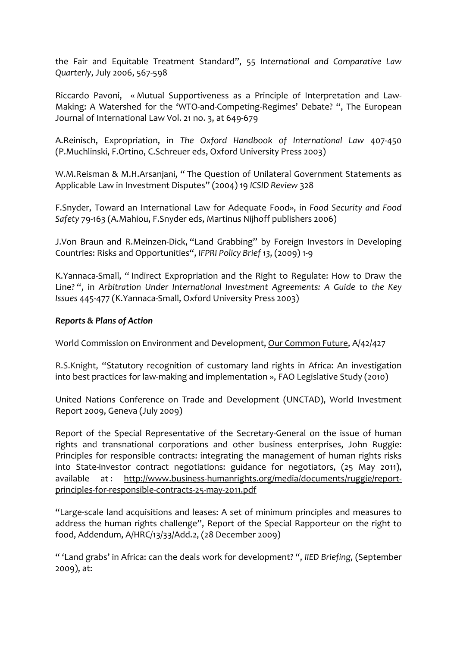the Fair and Equitable Treatment Standard", 55 International and Comparative Law Quarterly, July 2006, 567-598

Riccardo Pavoni, « Mutual Supportiveness as a Principle of Interpretation and Law-Making: A Watershed for the 'WTO-and-Competing-Regimes' Debate? ", The European Journal of International Law Vol. 21 no. 3, at 649-679

A.Reinisch, Expropriation, in The Oxford Handbook of International Law 407-450 (P.Muchlinski, F.Ortino, C.Schreuer eds, Oxford University Press 2003)

W.M.Reisman & M.H.Arsaniani, "The Ouestion of Unilateral Government Statements as Applicable Law in Investment Disputes" (2004) 19 ICSID Review 328

F.Snyder, Toward an International Law for Adequate Food», in Food Security and Food Safety 79-163 (A.Mahiou, F.Snyder eds, Martinus Nijhoff publishers 2006)

J.Von Braun and R.Meinzen-Dick, "Land Grabbing" by Foreign Investors in Developing Countries: Risks and Opportunities", IFPRI Policy Brief 13, (2009) 1-9

K. Yannaca-Small, "Indirect Expropriation and the Right to Regulate: How to Draw the Line? ", in Arbitration Under International Investment Agreements: A Guide to the Key Issues 445-477 (K.Yannaca-Small, Oxford University Press 2003)

## **Reports & Plans of Action**

World Commission on Environment and Development, Our Common Future, A/42/427

R.S.Knight, "Statutory recognition of customary land rights in Africa: An investigation into best practices for law-making and implementation », FAO Legislative Study (2010)

United Nations Conference on Trade and Development (UNCTAD), World Investment Report 2009, Geneva (July 2009)

Report of the Special Representative of the Secretary-General on the issue of human rights and transnational corporations and other business enterprises, John Ruggie: Principles for responsible contracts: integrating the management of human rights risks into State-investor contract negotiations: guidance for negotiators, (25 May 2011), http://www.business-humanrights.org/media/documents/ruggie/reportavailable  $at:$ principles-for-responsible-contracts-25-may-2011.pdf

"Large-scale land acquisitions and leases: A set of minimum principles and measures to address the human rights challenge", Report of the Special Rapporteur on the right to food, Addendum, A/HRC/13/33/Add.2, (28 December 2009)

"'Land grabs' in Africa: can the deals work for development?", IIED Briefing, (September  $2009$ ), at: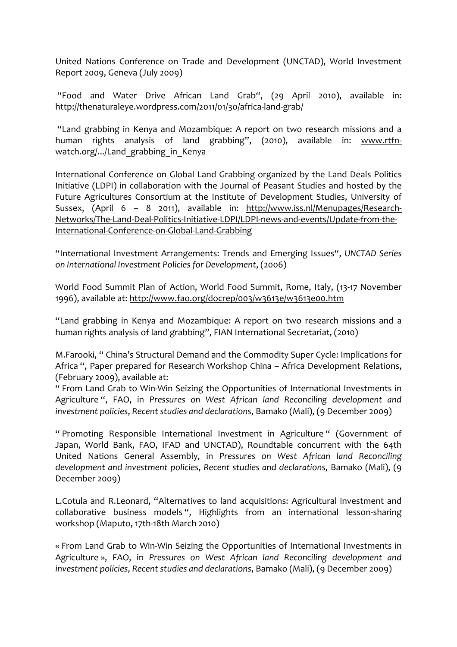United Nations Conference on Trade and Development (UNCTAD), World Investment Report 2009, Geneva (July 2009)

"Food and Water Drive African Land Grab", (29 April 2010), available in: http://thenaturaleye.wordpress.com/2011/01/30/africa-land-grab/

"Land grabbing in Kenya and Mozambique: A report on two research missions and a human rights analysis of land grabbing", (2010), available in: www.rtfnwatch.org/.../Land\_grabbing\_in\_Kenya*\$\$*

International Conference on Global Land Grabbing organized by the Land Deals Politics Initiative (LDPI) in collaboration with the Journal of Peasant Studies and hosted by the Future Agricultures Consortium at the Institute of Development Studies, University of Sussex,  $(April \ 6 - 8 \ 2011)$ , available in: http://www.iss.nl/Menupages/Research-Networks/The-Land-Deal-Politics-Initiative-LDPI/LDPI-news-and-events/Update-from-the-International-Conference-on-Global-Land-Grabbing

"International\$Investment\$ Arrangements:\$ Trends\$ and\$ Emerging\$Issues",\$*UNCTAD\$ Series\$ on\$International\$Investment\$Policies\$for\$Development*,\$(2006)

World Food Summit Plan of Action, World Food Summit, Rome, Italy, (13-17 November 1996), available at: http://www.fao.org/docrep/003/w3613e/w3613e00.htm

"Land grabbing in Kenya and Mozambique: A report on two research missions and a human rights analysis of land grabbing", FIAN International Secretariat, (2010)

M.Farooki, " China's Structural Demand and the Commodity Super Cycle: Implications for Africa ", Paper prepared for Research Workshop China – Africa Development Relations, (February 2009), available at:

" From Land Grab to Win-Win Seizing the Opportunities of International Investments in Agriculture ", FAO, in Pressures on West African land Reconciling development and *investment policies, Recent studies and declarations, Bamako (Mali), (9 December 2009)* 

" Promoting Responsible International Investment in Agriculture " (Government of Japan, World Bank, FAO, IFAD and UNCTAD), Roundtable concurrent with the 64th United\$ Nations\$ General\$ Assembly,\$ in\$ *Pressures\$ on\$ West African\$ land\$ Reconciling\$* development and investment policies, Recent studies and declarations, Bamako (Mali), (9 December 2009)

L.Cotula and R.Leonard, "Alternatives to land acquisitions: Agricultural investment and collaborative business models ", Highlights from an international lesson-sharing workshop (Maputo, 17th-18th March 2010)

« From Land Grab to Win-Win Seizing the Opportunities of International Investments in Agriculture », FAO, in Pressures on West African land Reconciling development and *investment policies, Recent studies and declarations, Bamako (Mali), (9 December 2009)*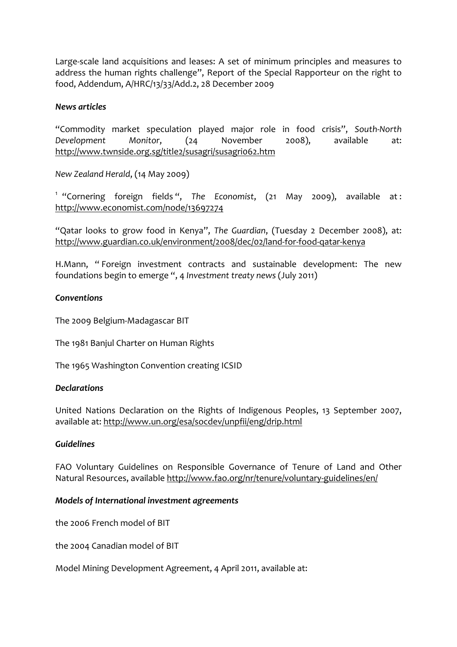Large-scale land acquisitions and leases: A set of minimum principles and measures to address the human rights challenge", Report of the Special Rapporteur on the right to food, Addendum, A/HRC/13/33/Add.2, 28 December 2009

## *News+articles*

"Commodity market speculation played major role in food crisis", South-North Development Monitor, (24 November 2008), available at: http://www.twnside.org.sg/title2/susagri/susagri062.htm

*New Zealand Herald, (14 May 2009)* 

<sup>1</sup> "Cornering foreign fields ", The Economist, (21 May 2009), available at : http://www.economist.com/node/13697274

"Qatar looks to grow food in Kenya", The Guardian, (Tuesday 2 December 2008), at: http://www.guardian.co.uk/environment/2008/dec/02/land-for-food-gatar-kenya

H.Mann, "Foreign investment contracts and sustainable development: The new foundations begin to emerge ", 4 *Investment treaty news* (July 2011)

## *Conventions*

The 2009 Belgium-Madagascar BIT

The 1981 Banjul Charter on Human Rights

The 1965 Washington Convention creating ICSID

#### *Declarations*

United Nations Declaration on the Rights of Indigenous Peoples, 13 September 2007, available at: http://www.un.org/esa/socdev/unpfii/eng/drip.html

#### *Guidelines*

FAO Voluntary Guidelines on Responsible Governance of Tenure of Land and Other Natural Resources, available http://www.fao.org/nr/tenure/voluntary-guidelines/en/

#### *Models+of+International+investment+agreements*

the 2006 French model of BIT

the 2004 Canadian model of BIT

Model Mining Development Agreement, 4 April 2011, available at: